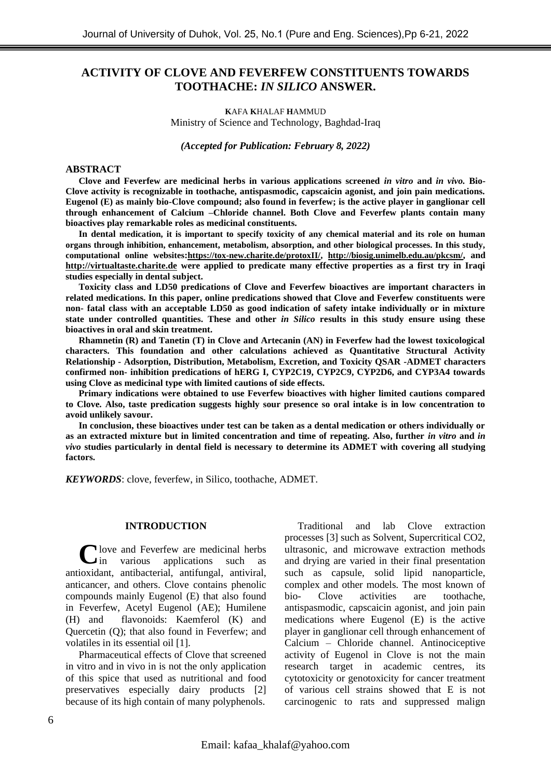# **ACTIVITY OF CLOVE AND FEVERFEW CONSTITUENTS TOWARDS TOOTHACHE:** *IN SILICO* **ANSWER.**

**K**AFA **K**HALAF **H**AMMUD Ministry of Science and Technology, Baghdad-Iraq

*(Accepted for Publication:**February 8, 2022)*

#### **ABSTRACT**

**Clove and Feverfew are medicinal herbs in various applications screened** *in vitro* **and** *in vivo.* **Bio-Clove activity is recognizable in toothache, antispasmodic, capscaicin agonist, and join pain medications. Eugenol (E) as mainly bio-Clove compound; also found in feverfew; is the active player in ganglionar cell through enhancement of Calcium –Chloride channel. Both Clove and Feverfew plants contain many bioactives play remarkable roles as medicinal constituents.**

**In dental medication, it is important to specify toxicity of any chemical material and its role on human organs through inhibition, enhancement, metabolism, absorption, and other biological processes. In this study, computational online websites:[https://tox-new.charite.de/protoxII/,](https://tox-new.charite.de/protoxII/) <http://biosig.unimelb.edu.au/pkcsm/>, and [http://virtualtaste.charite.de](http://virtualtaste.charite.de/) were applied to predicate many effective properties as a first try in Iraqi studies especially in dental subject.**

**Toxicity class and LD50 predications of Clove and Feverfew bioactives are important characters in related medications. In this paper, online predications showed that Clove and Feverfew constituents were non- fatal class with an acceptable LD50 as good indication of safety intake individually or in mixture state under controlled quantities. These and other** *in Silico* **results in this study ensure using these bioactives in oral and skin treatment.**

**Rhamnetin (R) and Tanetin (T) in Clove and Artecanin (AN) in Feverfew had the lowest toxicological characters. This foundation and other calculations achieved as Quantitative Structural Activity Relationship - Adsorption, Distribution, Metabolism, Excretion, and Toxicity QSAR -ADMET characters confirmed non- inhibition predications of hERG I, CYP2C19, CYP2C9, CYP2D6, and CYP3A4 towards using Clove as medicinal type with limited cautions of side effects.**

**Primary indications were obtained to use Feverfew bioactives with higher limited cautions compared to Clove. Also, taste predication suggests highly sour presence so oral intake is in low concentration to avoid unlikely savour.**

**In conclusion, these bioactives under test can be taken as a dental medication or others individually or as an extracted mixture but in limited concentration and time of repeating. Also, further** *in vitro* **and** *in vivo* **studies particularly in dental field is necessary to determine its ADMET with covering all studying factors.**

*KEYWORDS*: clove, feverfew, in Silico, toothache, ADMET.

#### **INTRODUCTION**

**C**love and Feverfew are medicinal herbs<br>in various applications such as in various applications such as antioxidant, antibacterial, antifungal, antiviral, anticancer, and others. Clove contains phenolic compounds mainly Eugenol (E) that also found in Feverfew, Acetyl Eugenol (AE); Humilene (H) and flavonoids: Kaemferol (K) and Quercetin (Q); that also found in Feverfew; and volatiles in its essential oil [1].

Pharmaceutical effects of Clove that screened in vitro and in vivo in is not the only application of this spice that used as nutritional and food preservatives especially dairy products [2] because of its high contain of many polyphenols.

Traditional and lab Clove extraction processes [3] such as Solvent, Supercritical CO2, ultrasonic, and microwave extraction methods and drying are varied in their final presentation such as capsule, solid lipid nanoparticle, complex and other models. The most known of bio- Clove activities are toothache, antispasmodic, capscaicin agonist, and join pain medications where Eugenol (E) is the active player in ganglionar cell through enhancement of Calcium – Chloride channel. Antinociceptive activity of Eugenol in Clove is not the main research target in academic centres, its cytotoxicity or genotoxicity for cancer treatment of various cell strains showed that E is not carcinogenic to rats and suppressed malign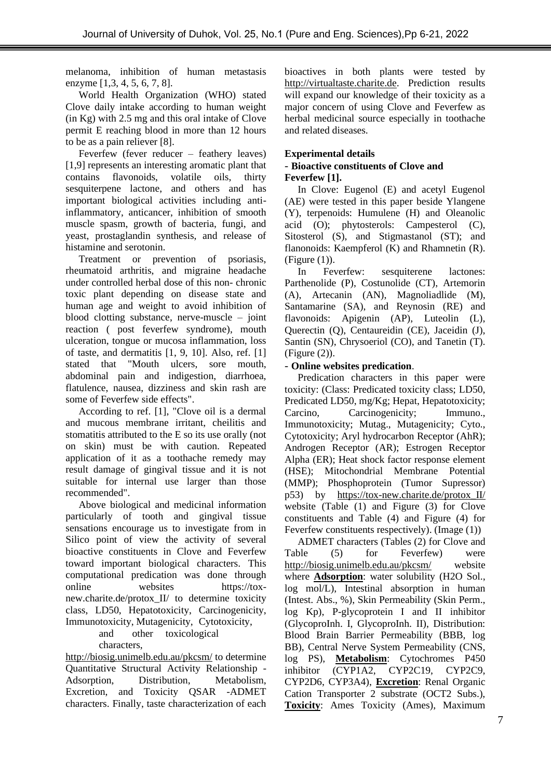melanoma, inhibition of human metastasis enzyme [1,3, 4, 5, 6, 7, 8].

World Health Organization (WHO) stated Clove daily intake according to human weight (in Kg) with 2.5 mg and this oral intake of Clove permit E reaching blood in more than 12 hours to be as a pain reliever [8].

Feverfew (fever reducer – feathery leaves) [1,9] represents an interesting aromatic plant that contains flavonoids, volatile oils, thirty sesquiterpene lactone, and others and has important biological activities including antiinflammatory, anticancer, inhibition of smooth muscle spasm, growth of bacteria, fungi, and yeast, prostaglandin synthesis, and release of histamine and serotonin.

Treatment or prevention of psoriasis, rheumatoid arthritis, and migraine headache under controlled herbal dose of this non- chronic toxic plant depending on disease state and human age and weight to avoid inhibition of blood clotting substance, nerve-muscle – joint reaction ( post feverfew syndrome), mouth ulceration, tongue or mucosa inflammation, loss of taste, and dermatitis [1, 9, 10]. Also, ref. [1] stated that "Mouth ulcers, sore mouth, abdominal pain and indigestion, diarrhoea, flatulence, nausea, dizziness and skin rash are some of Feverfew side effects".

According to ref. [1], "Clove oil is a dermal and mucous membrane irritant, cheilitis and stomatitis attributed to the E so its use orally (not on skin) must be with caution. Repeated application of it as a toothache remedy may result damage of gingival tissue and it is not suitable for internal use larger than those recommended".

Above biological and medicinal information particularly of tooth and gingival tissue sensations encourage us to investigate from in Silico point of view the activity of several bioactive constituents in Clove and Feverfew toward important biological characters. This computational predication was done through online websites [https://tox](https://tox-new.charite.de/protox_II/)[new.charite.de/protox\\_II/](https://tox-new.charite.de/protox_II/) to determine toxicity class, LD50, Hepatotoxicity, Carcinogenicity, Immunotoxicity, Mutagenicity, Cytotoxicity,

and other toxicological

characters,

<http://biosig.unimelb.edu.au/pkcsm/> to determine Quantitative Structural Activity Relationship - Adsorption, Distribution, Metabolism, Excretion, and Toxicity QSAR -ADMET characters. Finally, taste characterization of each bioactives in both plants were tested by [http://virtualtaste.charite.de. P](http://virtualtaste.charite.de/)rediction results will expand our knowledge of their toxicity as a major concern of using Clove and Feverfew as herbal medicinal source especially in toothache and related diseases.

# **Experimental details**

### - **Bioactive constituents of Clove and Feverfew [1].**

In Clove: Eugenol (E) and acetyl Eugenol (AE) were tested in this paper beside Ylangene (Y), terpenoids: Humulene (H) and Oleanolic acid (O); phytosterols: Campesterol (C), Sitosterol (S), and Stigmastanol (ST); and flanonoids: Kaempferol (K) and Rhamnetin (R). (Figure (1)).

In Feverfew: sesquiterene lactones: Parthenolide (P), Costunolide (CT), Artemorin (A), Artecanin (AN), Magnoliadlide (M), Santamarine (SA), and Reynosin (RE) and flavonoids: Apigenin (AP), Luteolin (L), Querectin (Q), Centaureidin (CE), Jaceidin (J), Santin (SN), Chrysoeriol (CO), and Tanetin (T). (Figure (2)).

## - **Online websites predication**.

Predication characters in this paper were toxicity: (Class: Predicated toxicity class; LD50, Predicated LD50, mg/Kg; Hepat, Hepatotoxicity; Carcino, Carcinogenicity; Immuno., Immunotoxicity; Mutag., Mutagenicity; Cyto., Cytotoxicity; Aryl hydrocarbon Receptor (AhR); Androgen Receptor (AR); Estrogen Receptor Alpha (ER); Heat shock factor response element (HSE); Mitochondrial Membrane Potential (MMP); Phosphoprotein (Tumor Supressor) p53) by [https://tox-new.charite.de/protox\\_II/](https://tox-new.charite.de/protox_II/) website (Table (1) and Figure (3) for Clove constituents and Table (4) and Figure (4) for Feverfew constituents respectively). (Image (1))

ADMET characters (Tables (2) for Clove and Table (5) for Feverfew) were <http://biosig.unimelb.edu.au/pkcsm/> website where **Adsorption**: water solubility (H2O Sol., log mol/L), Intestinal absorption in human (Intest. Abs., %), Skin Permeability (Skin Perm., log Kp), P-glycoprotein I and II inhibitor (GlycoproInh. I, GlycoproInh. II), Distribution: Blood Brain Barrier Permeability (BBB, log BB), Central Nerve System Permeability (CNS, log PS), **Metabolism**: Cytochromes P450 inhibitor (CYP1A2, CYP2C19, CYP2C9, CYP2D6, CYP3A4), **Excretion**: Renal Organic Cation Transporter 2 substrate (OCT2 Subs.), **Toxicity**: Ames Toxicity (Ames), Maximum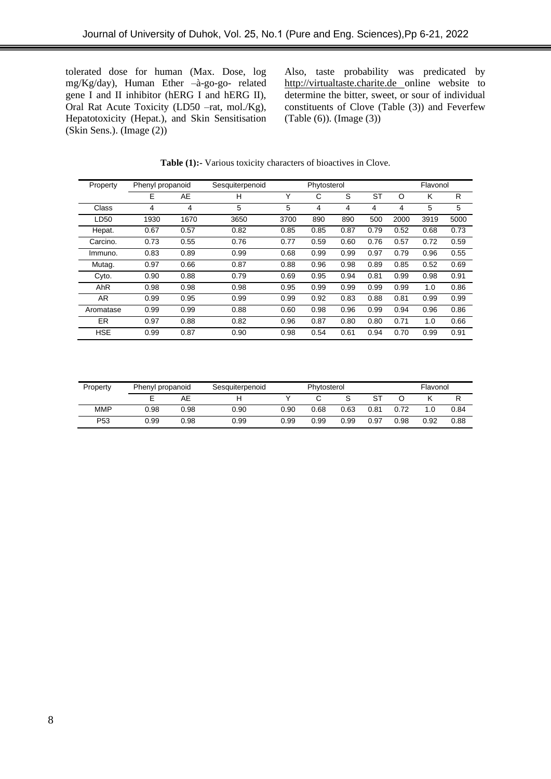tolerated dose for human (Max. Dose, log mg/Kg/day), Human Ether –à-go-go- related gene I and II inhibitor (hERG I and hERG II), Oral Rat Acute Toxicity (LD50 –rat, mol./Kg), Hepatotoxicity (Hepat.), and Skin Sensitisation (Skin Sens.). (Image (2))

Also, taste probability was predicated by [http://virtualtaste.charite.de](http://virtualtaste.charite.de/) online website to determine the bitter, sweet, or sour of individual constituents of Clove (Table (3)) and Feverfew (Table (6)). (Image (3))

| Property   | Phenyl propanoid |      | Sesquiterpenoid |      | Phytosterol |      |      |      | Flavonol |      |
|------------|------------------|------|-----------------|------|-------------|------|------|------|----------|------|
|            | Е                | AE   | н               | Υ    | С           | S    | ST   | O    | K        | R    |
| Class      | 4                | 4    | 5               | 5    | 4           | 4    | 4    | 4    | 5        | 5    |
| LD50       | 1930             | 1670 | 3650            | 3700 | 890         | 890  | 500  | 2000 | 3919     | 5000 |
| Hepat.     | 0.67             | 0.57 | 0.82            | 0.85 | 0.85        | 0.87 | 0.79 | 0.52 | 0.68     | 0.73 |
| Carcino.   | 0.73             | 0.55 | 0.76            | 0.77 | 0.59        | 0.60 | 0.76 | 0.57 | 0.72     | 0.59 |
| Immuno.    | 0.83             | 0.89 | 0.99            | 0.68 | 0.99        | 0.99 | 0.97 | 0.79 | 0.96     | 0.55 |
| Mutag.     | 0.97             | 0.66 | 0.87            | 0.88 | 0.96        | 0.98 | 0.89 | 0.85 | 0.52     | 0.69 |
| Cyto.      | 0.90             | 0.88 | 0.79            | 0.69 | 0.95        | 0.94 | 0.81 | 0.99 | 0.98     | 0.91 |
| AhR        | 0.98             | 0.98 | 0.98            | 0.95 | 0.99        | 0.99 | 0.99 | 0.99 | 1.0      | 0.86 |
| AR.        | 0.99             | 0.95 | 0.99            | 0.99 | 0.92        | 0.83 | 0.88 | 0.81 | 0.99     | 0.99 |
| Aromatase  | 0.99             | 0.99 | 0.88            | 0.60 | 0.98        | 0.96 | 0.99 | 0.94 | 0.96     | 0.86 |
| <b>ER</b>  | 0.97             | 0.88 | 0.82            | 0.96 | 0.87        | 0.80 | 0.80 | 0.71 | 1.0      | 0.66 |
| <b>HSE</b> | 0.99             | 0.87 | 0.90            | 0.98 | 0.54        | 0.61 | 0.94 | 0.70 | 0.99     | 0.91 |

|  | Table (1):- Various toxicity characters of bioactives in Clove. |  |  |
|--|-----------------------------------------------------------------|--|--|
|--|-----------------------------------------------------------------|--|--|

| Property        | Phenyl propanoid |      | Sesquiterpenoid |      | Phytosterol |      |      |      | Flavonol |      |
|-----------------|------------------|------|-----------------|------|-------------|------|------|------|----------|------|
|                 |                  | AЕ   |                 |      |             |      |      |      |          |      |
| <b>MMP</b>      | 0.98             | 0.98 | 0.90            | 0.90 | 0.68        | 0.63 | 0.81 |      | 1.0      | 0.84 |
| P <sub>53</sub> | 0.99             | 0.98 | 0.99            | 0.99 | 0.99        | 0.99 | 0.97 | 0.98 | 0.92     | 0.88 |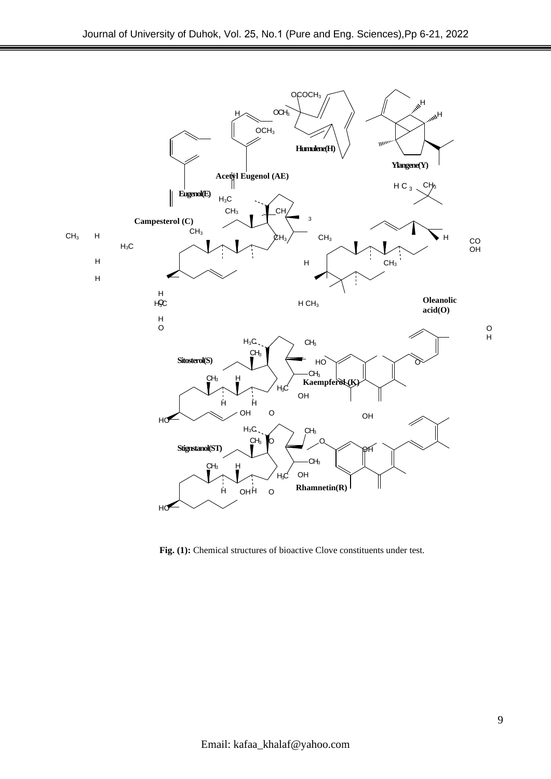

**Fig. (1):** Chemical structures of bioactive Clove constituents under test.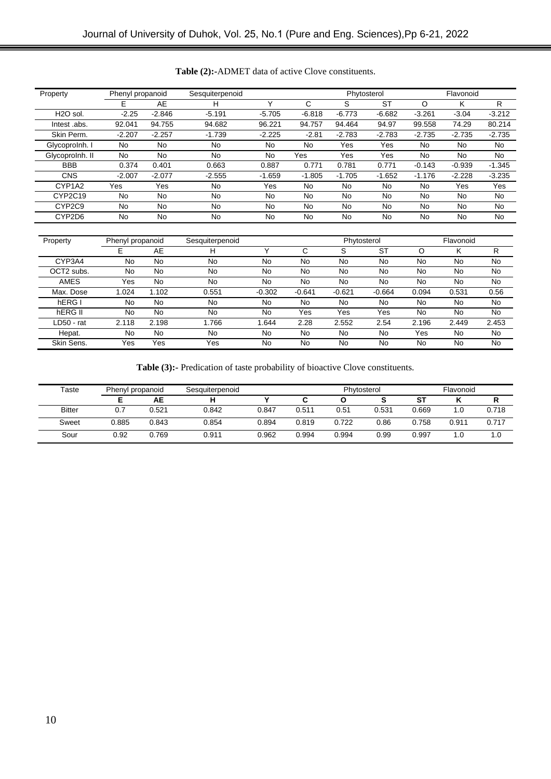| Property              | Phenyl propanoid |           | Sesquiterpenoid |             |          | Phytosterol |           |           | Flavonoid |          |
|-----------------------|------------------|-----------|-----------------|-------------|----------|-------------|-----------|-----------|-----------|----------|
|                       | E                | AE        | н               | $\check{ }$ | C        | S           | <b>ST</b> | O         | κ         | R        |
| H <sub>2</sub> O sol. | $-2.25$          | $-2.846$  | $-5.191$        | $-5.705$    | $-6.818$ | $-6.773$    | $-6.682$  | $-3.261$  | $-3.04$   | $-3.212$ |
| lntest .abs.          | 92.041           | 94.755    | 94.682          | 96.221      | 94.757   | 94.464      | 94.97     | 99.558    | 74.29     | 80.214   |
| Skin Perm.            | $-2.207$         | $-2.257$  | $-1.739$        | $-2.225$    | $-2.81$  | $-2.783$    | $-2.783$  | $-2.735$  | $-2.735$  | $-2.735$ |
| Glycoprolnh. I        | No.              | <b>No</b> | <b>No</b>       | No          | No       | Yes         | Yes       | No.       | No        | No.      |
| Glycoprolnh. II       | No               | No        | <b>No</b>       | No          | Yes      | Yes         | Yes       | No        | No        | No.      |
| <b>BBB</b>            | 0.374            | 0.401     | 0.663           | 0.887       | 0.771    | 0.781       | 0.771     | $-0.143$  | $-0.939$  | $-1.345$ |
| <b>CNS</b>            | $-2.007$         | $-2.077$  | $-2.555$        | $-1.659$    | $-1.805$ | $-1.705$    | $-1.652$  | $-1.176$  | $-2.228$  | $-3.235$ |
| CYP1A2                | Yes              | Yes       | <b>No</b>       | Yes         | No       | No          | No        | No.       | Yes       | Yes      |
| CYP2C19               | <b>No</b>        | <b>No</b> | <b>No</b>       | No          | No       | No          | <b>No</b> | <b>No</b> | No        | No       |
| CYP2C9                | <b>No</b>        | <b>No</b> | <b>No</b>       | No          | No       | No          | <b>No</b> | <b>No</b> | No        | No       |
| CYP2D6                | No               | No        | No              | No          | No       | No          | No        | No        | No        | No       |
|                       |                  |           |                 |             |          |             |           |           |           |          |

### **Table (2):-**ADMET data of active Clove constituents.

| Property    | Phenyl propanoid |       | Sesquiterpenoid |          |          | Phytosterol |           |       | Flavonoid |       |
|-------------|------------------|-------|-----------------|----------|----------|-------------|-----------|-------|-----------|-------|
|             | E                | AE    | н               |          | ⌒<br>U   | S           | <b>ST</b> |       | ĸ         | R     |
| CYP3A4      | No               | No    | No              | No       | No       | No          | No        | No    | No        | No    |
| OCT2 subs.  | No               | No    | No              | No       | No       | No          | No        | No    | No        | No    |
| <b>AMES</b> | Yes              | No    | No              | No       | No       | No          | No        | No    | No        | No    |
| Max. Dose   | .024             | 1.102 | 0.551           | $-0.302$ | $-0.641$ | $-0.621$    | $-0.664$  | 0.094 | 0.531     | 0.56  |
| hERG I      | No               | No    | No              | No       | No       | No          | No        | No    | No        | No    |
| hERG II     | No               | No    | No              | No       | Yes      | Yes         | Yes       | No    | No        | No    |
| LD50 - rat  | 2.118            | 2.198 | 1.766           | 1.644    | 2.28     | 2.552       | 2.54      | 2.196 | 2.449     | 2.453 |
| Hepat.      | No               | No    | No              | No       | No.      | No          | No        | Yes   | No        | No    |
| Skin Sens.  | Yes              | Yes   | Yes             | No       | No       | No          | No        | No    | No        | No    |

**Table (3):-** Predication of taste probability of bioactive Clove constituents.

| Taste         | Phenyl propanoid |       | Sesquiterpenoid |       |       | Phytosterol |       |       | Flavonoid |       |
|---------------|------------------|-------|-----------------|-------|-------|-------------|-------|-------|-----------|-------|
|               |                  | AЕ    |                 |       |       |             |       | ST    |           |       |
| <b>Bitter</b> |                  | 0.521 | 0.842           | 0.847 | 0.511 | 0.51        | 0.531 | 0.669 | 0. ا      | 0.718 |
| Sweet         | 0.885            | 0.843 | 0.854           | 0.894 | 0.819 | 0.722       | 0.86  | 0.758 | 0.911     | 0.717 |
| Sour          | 0.92             | 0.769 | 0.911           | 0.962 | 0.994 | 0.994       | 0.99  | 0.997 | 0. ا      | 1.0   |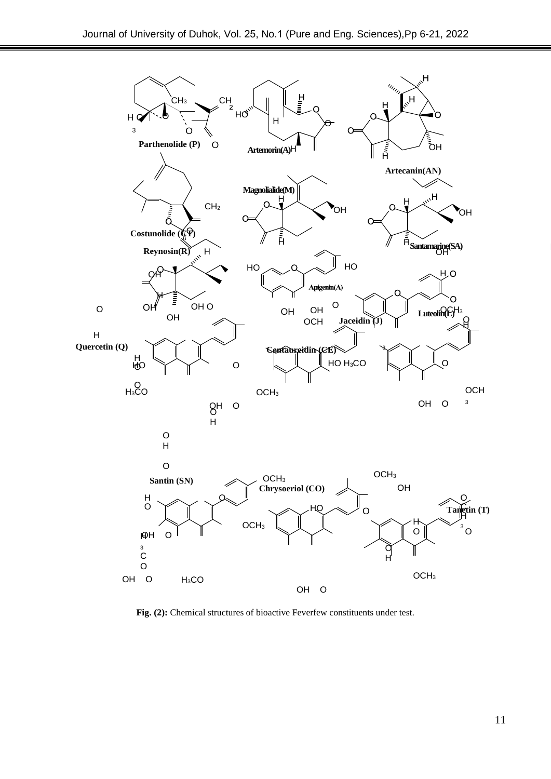

**Fig. (2):** Chemical structures of bioactive Feverfew constituents under test.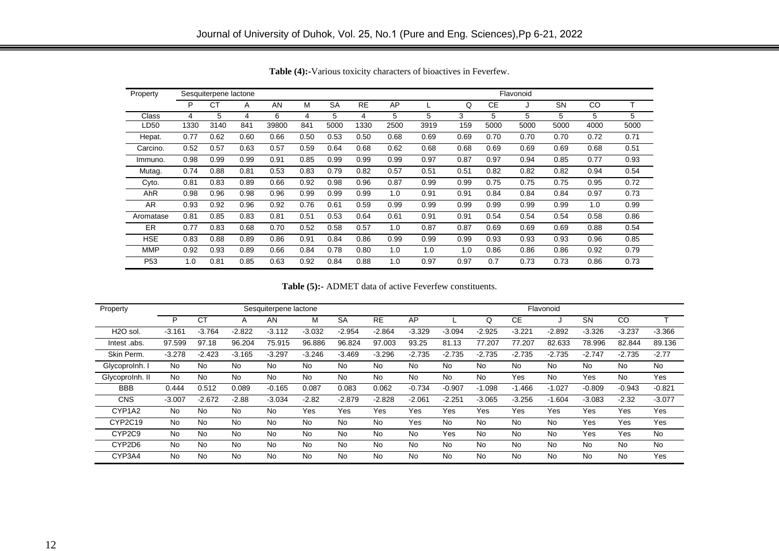| Property        |      | Sesquiterpene lactone |      |       |      |           |           |      |      |      |      | Flavonoid |           |      |      |
|-----------------|------|-----------------------|------|-------|------|-----------|-----------|------|------|------|------|-----------|-----------|------|------|
|                 | P    | СT                    | A    | AN    | M    | <b>SA</b> | <b>RE</b> | AP   |      | Q    | СE   |           | <b>SN</b> | CO   |      |
| Class           | 4    | 5                     | 4    | 6     | 4    | 5         | 4         | 5    | 5    | 3    | 5    | 5         | 5         | 5    | 5    |
| LD50            | 1330 | 3140                  | 841  | 39800 | 841  | 5000      | 1330      | 2500 | 3919 | 159  | 5000 | 5000      | 5000      | 4000 | 5000 |
| Hepat.          | 0.77 | 0.62                  | 0.60 | 0.66  | 0.50 | 0.53      | 0.50      | 0.68 | 0.69 | 0.69 | 0.70 | 0.70      | 0.70      | 0.72 | 0.71 |
| Carcino.        | 0.52 | 0.57                  | 0.63 | 0.57  | 0.59 | 0.64      | 0.68      | 0.62 | 0.68 | 0.68 | 0.69 | 0.69      | 0.69      | 0.68 | 0.51 |
| Immuno.         | 0.98 | 0.99                  | 0.99 | 0.91  | 0.85 | 0.99      | 0.99      | 0.99 | 0.97 | 0.87 | 0.97 | 0.94      | 0.85      | 0.77 | 0.93 |
| Mutag.          | 0.74 | 0.88                  | 0.81 | 0.53  | 0.83 | 0.79      | 0.82      | 0.57 | 0.51 | 0.51 | 0.82 | 0.82      | 0.82      | 0.94 | 0.54 |
| Cyto.           | 0.81 | 0.83                  | 0.89 | 0.66  | 0.92 | 0.98      | 0.96      | 0.87 | 0.99 | 0.99 | 0.75 | 0.75      | 0.75      | 0.95 | 0.72 |
| AhR             | 0.98 | 0.96                  | 0.98 | 0.96  | 0.99 | 0.99      | 0.99      | 1.0  | 0.91 | 0.91 | 0.84 | 0.84      | 0.84      | 0.97 | 0.73 |
| AR              | 0.93 | 0.92                  | 0.96 | 0.92  | 0.76 | 0.61      | 0.59      | 0.99 | 0.99 | 0.99 | 0.99 | 0.99      | 0.99      | 1.0  | 0.99 |
| Aromatase       | 0.81 | 0.85                  | 0.83 | 0.81  | 0.51 | 0.53      | 0.64      | 0.61 | 0.91 | 0.91 | 0.54 | 0.54      | 0.54      | 0.58 | 0.86 |
| ER.             | 0.77 | 0.83                  | 0.68 | 0.70  | 0.52 | 0.58      | 0.57      | 1.0  | 0.87 | 0.87 | 0.69 | 0.69      | 0.69      | 0.88 | 0.54 |
| <b>HSE</b>      | 0.83 | 0.88                  | 0.89 | 0.86  | 0.91 | 0.84      | 0.86      | 0.99 | 0.99 | 0.99 | 0.93 | 0.93      | 0.93      | 0.96 | 0.85 |
| <b>MMP</b>      | 0.92 | 0.93                  | 0.89 | 0.66  | 0.84 | 0.78      | 0.80      | 1.0  | 1.0  | 1.0  | 0.86 | 0.86      | 0.86      | 0.92 | 0.79 |
| P <sub>53</sub> | 1.0  | 0.81                  | 0.85 | 0.63  | 0.92 | 0.84      | 0.88      | 1.0  | 0.97 | 0.97 | 0.7  | 0.73      | 0.73      | 0.86 | 0.73 |

**Table (4):-**Various toxicity characters of bioactives in Feverfew.

**Table (5):-** ADMET data of active Feverfew constituents.

| Property              |           |           |           | Sesquiterpene lactone |           |           |           |           |           |           |           | Flavonoid |           |           |           |
|-----------------------|-----------|-----------|-----------|-----------------------|-----------|-----------|-----------|-----------|-----------|-----------|-----------|-----------|-----------|-----------|-----------|
|                       | P         | CT        | Α         | AN                    | М         | <b>SA</b> | <b>RE</b> | AP        |           | Q         | <b>CE</b> |           | SN        | CO        |           |
| H <sub>2</sub> O sol. | $-3.161$  | $-3.764$  | $-2.822$  | $-3.112$              | $-3.032$  | $-2.954$  | $-2.864$  | $-3.329$  | $-3.094$  | $-2.925$  | $-3.221$  | $-2.892$  | $-3.326$  | $-3.237$  | $-3.366$  |
| lntest .abs.          | 97.599    | 97.18     | 96.204    | 75.915                | 96.886    | 96.824    | 97.003    | 93.25     | 81.13     | 77.207    | 77.207    | 82.633    | 78.996    | 82.844    | 89.136    |
| Skin Perm.            | $-3.278$  | $-2.423$  | $-3.165$  | $-3.297$              | $-3.246$  | $-3.469$  | $-3.296$  | $-2.735$  | $-2.735$  | $-2.735$  | $-2.735$  | $-2.735$  | $-2.747$  | $-2.735$  | $-2.77$   |
| Glycoprolnh. I        | <b>No</b> | No        | <b>No</b> | No                    | <b>No</b> | No        | No.       | <b>No</b> | No        | <b>No</b> | No        | No.       | <b>No</b> | No        | No.       |
| GlycoproInh. II       | <b>No</b> | <b>No</b> | No        | <b>No</b>             | <b>No</b> | No        | <b>No</b> | <b>No</b> | <b>No</b> | <b>No</b> | Yes       | <b>No</b> | Yes       | <b>No</b> | Yes       |
| <b>BBB</b>            | 0.444     | 0.512     | 0.089     | $-0.165$              | 0.087     | 0.083     | 0.062     | $-0.734$  | $-0.907$  | $-1.098$  | $-1.466$  | $-1.027$  | $-0.809$  | $-0.943$  | $-0.821$  |
| <b>CNS</b>            | $-3.007$  | $-2.672$  | $-2.88$   | $-3.034$              | $-2.82$   | $-2.879$  | $-2.828$  | $-2.061$  | $-2.251$  | $-3.065$  | $-3.256$  | $-1.604$  | $-3.083$  | $-2.32$   | $-3.077$  |
| CYP1A2                | <b>No</b> | <b>No</b> | <b>No</b> | <b>No</b>             | Yes       | Yes       | Yes       | Yes       | Yes       | Yes       | Yes       | Yes       | Yes       | Yes       | Yes       |
| CYP2C19               | <b>No</b> | <b>No</b> | No        | No                    | <b>No</b> | No        | <b>No</b> | Yes       | No        | <b>No</b> | No        | <b>No</b> | Yes       | Yes       | Yes       |
| CYP2C9                | No        | <b>No</b> | No        | No                    | <b>No</b> | No        | <b>No</b> | <b>No</b> | Yes       | No        | No        | <b>No</b> | Yes       | Yes       | No        |
| CYP2D6                | <b>No</b> | No        | <b>No</b> | No                    | No        | No        | No        | <b>No</b> | No        | <b>No</b> | No        | No        | <b>No</b> | No        | <b>No</b> |
| CYP3A4                | No        | No        | <b>No</b> | No                    | No        | No        | No        | <b>No</b> | No        | No        | No        | <b>No</b> | <b>No</b> | No        | Yes       |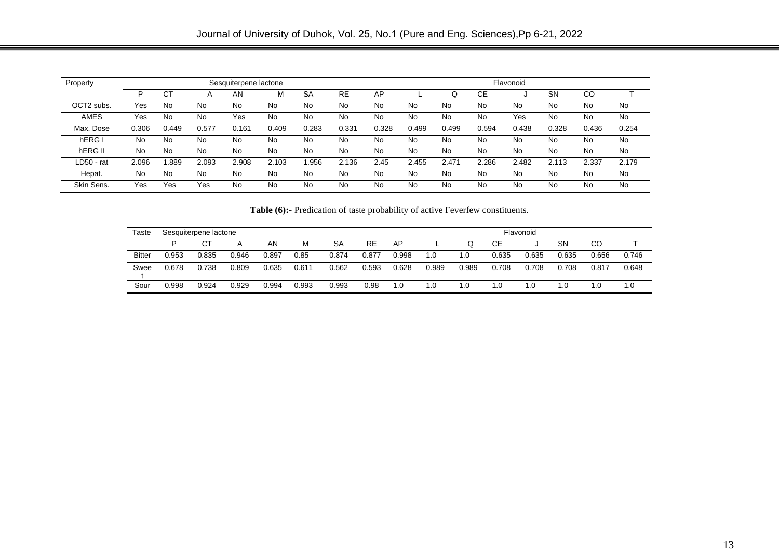|             |       |       |           |                       |       |           |           |       |       |       |           | Flavonoid |           |       |       |
|-------------|-------|-------|-----------|-----------------------|-------|-----------|-----------|-------|-------|-------|-----------|-----------|-----------|-------|-------|
| Property    |       |       |           | Sesquiterpene lactone |       |           |           |       |       |       |           |           |           |       |       |
|             | P     | СT    |           | AN                    | М     | <b>SA</b> | <b>RE</b> | AP    |       | Q     | <b>CE</b> |           | <b>SN</b> | CO    |       |
| OCT2 subs.  | Yes   | No    | No        | No.                   | No    | No        | No        | No    | No    | No    | No        | No        | No        | No    | No    |
| <b>AMES</b> | Yes   | No    | No        | Yes                   | No    | No        | No        | No    | No    | No    | No        | Yes       | No        | No    | No    |
| Max. Dose   | 0.306 | 0.449 | 0.577     | 0.161                 | 0.409 | 0.283     | 0.331     | 0.328 | 0.499 | 0.499 | 0.594     | 0.438     | 0.328     | 0.436 | 0.254 |
| hERG I      | No    | No    | <b>No</b> | No                    | No    | No        | No        | No    | No    | No    | No        | No        | No        | No    | No    |
| hERG II     | No    | No    | No        | No                    | No    | No        | No        | No    | No    | No    | No        | No        | No        | No    | No    |
| LD50 - rat  | 2.096 | .889  | 2.093     | 2.908                 | 2.103 | .956      | 2.136     | 2.45  | 2.455 | 2.471 | 2.286     | 2.482     | 2.113     | 2.337 | 2.179 |
| Hepat.      | No    | No    | No        | No                    | No    | No        | No        | No    | No    | No    | No        | No        | No        | No    | No    |
| Skin Sens.  | Yes   | Yes   | Yes       | No                    | No.   | No.       | No        | No    | No    | No    | No        | No        | No        | No    | No.   |

**Table (6):-** Predication of taste probability of active Feverfew constituents.

| Taste         |       | Sesquiterpene lactone |       |       |       |       |           |       |       |       |       | Flavonoid |       |       |       |
|---------------|-------|-----------------------|-------|-------|-------|-------|-----------|-------|-------|-------|-------|-----------|-------|-------|-------|
|               | D     | <b>CT</b>             | A     | AN    | М     | SΑ    | <b>RE</b> | AP    |       |       | CЕ    | u         | SN    | CO    |       |
| <b>Bitter</b> | 0.953 | 0.835                 | 0.946 | 0.897 | 0.85  | 0.874 | 0.877     | 0.998 | 1.0   | 1.0   | 0.635 | 0.635     | 0.635 | 0.656 | 0.746 |
| Swee          | 0.678 | 0.738                 | 0.809 | 0.635 | 0.611 | 0.562 | 0.593     | 0.628 | 0.989 | 0.989 | 0.708 | 0.708     | 0.708 | 0.817 | 0.648 |
| Sour          | 0.998 | 0.924                 | 0.929 | 0.994 | 0.993 | 0.993 | 0.98      | 1.0   | 1.0   | 1.0   | 1.0   | 1.0       | 1.0   | 1.0   | 1.0   |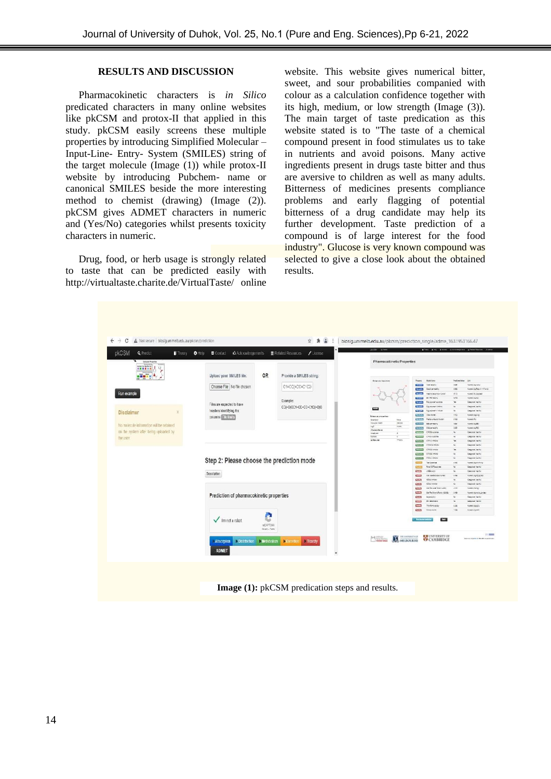### **RESULTS AND DISCUSSION**

Pharmacokinetic characters is *in Silico*  predicated characters in many online websites like pkCSM and protox-II that applied in this study. pkCSM easily screens these multiple properties by introducing Simplified Molecular – Input-Line- Entry- System (SMILES) string of the target molecule (Image (1)) while protox-II website by introducing Pubchem- name or canonical SMILES beside the more interesting method to chemist (drawing) (Image (2)). pkCSM gives ADMET characters in numeric and (Yes/No) categories whilst presents toxicity characters in numeric.

Drug, food, or herb usage is strongly related to taste that can be predicted easily with <http://virtualtaste.charite.de/VirtualTaste/> [o](http://virtualtaste.charite.de/VirtualTaste/)nline

website. This website gives numerical bitter, sweet, and sour probabilities companied with colour as a calculation confidence together with its high, medium, or low strength (Image (3)). The main target of taste predication as this website stated is to "The taste of a chemical compound present in food stimulates us to take in nutrients and avoid poisons. Many active ingredients present in drugs taste bitter and thus are aversive to children as well as many adults. Bitterness of medicines presents compliance problems and early flagging of potential bitterness of a drug candidate may help its further development. Taste prediction of a compound is of large interest for the food industry". Glucose is very known compound was selected to give a close look about the obtained results.

| pkCSM<br><b>Q</b> Predict<br><b>Theory</b>                                             | <b>C</b> Acknowledgements<br>$\theta$ Help<br>■ Contact          | <b>E</b> Related Resources<br>$\prime$ License | MSE<br><b>STAR</b>                                |                                                                                                           | ant stee company glassificate                                               |
|----------------------------------------------------------------------------------------|------------------------------------------------------------------|------------------------------------------------|---------------------------------------------------|-----------------------------------------------------------------------------------------------------------|-----------------------------------------------------------------------------|
| Calculus Brownian<br>$\overline{u}$<br><b>Television</b><br>Are that his fire fire Art |                                                                  |                                                | <b>Pharmacokinetic Properties</b>                 |                                                                                                           |                                                                             |
| <b>HEEFEL U</b><br>r<br><b>Contraction</b><br>.                                        | <b>OR</b><br>Upload your SMILES file:                            | Provide a SMILES string:                       |                                                   |                                                                                                           |                                                                             |
|                                                                                        |                                                                  |                                                | <b>Medianula Chevrolet</b>                        | Praiety<br><b>Row loca</b><br><b><i>Sing sculptur</i></b>                                                 | Padpartisia Uni<br>4.58                                                     |
|                                                                                        | Choose File   No file chosen                                     | C1=CC(=CC=C1C2:                                |                                                   | $-$<br>Cost wrashly<br><b>Bush</b>                                                                        | Interest (agreed)<br>196<br>Numero capPage in 124 area                      |
| <b>Run example</b>                                                                     |                                                                  |                                                |                                                   | <b>Country</b><br>Inspiral Absorpts (Congr)                                                               | 25.72<br>Nowell is dealer!                                                  |
|                                                                                        |                                                                  | Example:                                       |                                                   | <b>Schemato</b><br><b>College</b>                                                                         | 4.725<br><b>Herefolgster</b>                                                |
|                                                                                        | Files are expected to have                                       |                                                |                                                   | Recognizations<br><b>Book</b>                                                                             | $^{4}$<br>Cargonal (Nelfor)                                                 |
|                                                                                        |                                                                  | CC(-O)OC1-CC-CC-C1C(-O)O                       | m                                                 | $\overline{\phantom{a}}$<br><b>Belgavisen Linking</b><br><b><i><u>Property</u></i></b><br>Prospect Friday | $\sim$<br>Cangulat (No Ko)<br>Caspirat (Nelse)<br>$\sim$                    |
| <b>Disclaimer</b><br>×                                                                 | headers identifying the                                          |                                                |                                                   | <b>GALLAST</b><br>104 haratt                                                                              | cess.<br>HunelclapLike                                                      |
|                                                                                        | columns 153 linis                                                |                                                | <b>Schools</b> properties:<br>Smithau<br>in a     | <b>Children</b> - Packa University Pumps                                                                  | <b>Harwichi</b><br>1968                                                     |
| No molecule information will be retained                                               |                                                                  |                                                | 06004<br><b>Listada dage</b>                      | <b>CASTING</b><br><b>Sole permission</b>                                                                  | 446<br>naveralizer.                                                         |
|                                                                                        |                                                                  |                                                | 1440<br><b>Light</b><br><b>Panels</b> have        | CG prestito                                                                                               | $-2.25$<br>Hunelstands                                                      |
| on the system after being uploaded by                                                  |                                                                  |                                                | x<br><b>SOURCES</b>                               | preem consumer                                                                                            | $\infty$<br>Canaractivante                                                  |
| the user                                                                               |                                                                  |                                                | tuves<br>SCRAINS<br><b>HOAN</b>                   | CYNOLEJERN<br>$\overline{\phantom{a}}$<br>CRUIMAL<br><b>CALIFORNIA</b>                                    | Cargarda (resinar<br><b>No.</b><br>Cargunal (NeMa)                          |
|                                                                                        |                                                                  |                                                |                                                   | спортным<br>Comments                                                                                      | Cargunal / let/lot                                                          |
|                                                                                        |                                                                  |                                                |                                                   | promised in<br><b>CROZ</b> HIGH                                                                           | Cargana (restor<br>in.                                                      |
|                                                                                        |                                                                  |                                                |                                                   | <b>Service</b><br>CROS Imply                                                                              | Caspyral (Nelfor<br>$\sim$                                                  |
|                                                                                        | Step 2: Please choose the prediction mode                        |                                                |                                                   | COLLIVANIA<br>proving                                                                                     | Cangeron (Nelfo)<br><b>ALL</b>                                              |
|                                                                                        |                                                                  |                                                |                                                   | Taricanna                                                                                                 | <b>SHOP</b><br>mentiligetenep                                               |
|                                                                                        |                                                                  |                                                |                                                   | First OCTOBATION<br>$\sim$<br>undervision<br><b>Canada</b>                                                | Cinquisi (NAV)<br>96<br>Calendras (No No)<br>$^{44}$                        |
|                                                                                        | Description                                                      |                                                |                                                   | $\overline{\phantom{a}}$<br><b>NECKER GRANDED</b>                                                         | Harwiczsgriptgas)<br>1,794                                                  |
|                                                                                        |                                                                  |                                                |                                                   | <b>CHANNEL</b><br>HR4 (How)                                                                               | Cargural (resito)<br>$\sim$                                                 |
|                                                                                        |                                                                  |                                                |                                                   | <b>Card</b><br><b>RED-E-T INVOLVE</b>                                                                     | <b>VAL</b><br>Casteron (fee ho)                                             |
|                                                                                        |                                                                  |                                                |                                                   | Delfar June Telefin (200)<br><b>Contract</b>                                                              | 4.924<br>hunelcriptor                                                       |
|                                                                                        | Prediction of pharmacokinetic properties                         |                                                |                                                   | cause paid sources to<br>وحدوا                                                                            | 1:54<br>Nanels/aprologicities                                               |
|                                                                                        |                                                                  |                                                |                                                   | <b>Carry</b><br><b>Weighter</b><br><b>Card 1</b>                                                          | Cassinich Neckal<br>1667<br>Congress (Note)<br>$\overline{a}$               |
|                                                                                        |                                                                  |                                                |                                                   | <b>Private</b><br><b>Sold</b><br>Thylenauday                                                              | 1385<br>Huneralapigia                                                       |
|                                                                                        |                                                                  |                                                |                                                   | <b>CITY</b><br><b><i><u>Internation</u></i></b>                                                           | 1908<br>KingstrikerRV                                                       |
|                                                                                        | A<br>Im not a robot<br>س¤<br>reCAPTOHA                           |                                                |                                                   | <b>E</b> PART                                                                                             |                                                                             |
|                                                                                        | Stiney - Terms<br>Melabolism<br><b>Distribution</b><br>Absorbion | <b>Toxicity</b><br>Exception                   | MELBOURNE<br><b><i><u>Profits Service</u></i></b> | <b>E EUNIVERSITY OF</b><br><b>CAMBRIDGE</b>                                                               | $\mathbb{R}$ . Equal to<br><b>Baltimore adoptional at MAPP</b> computations |
|                                                                                        | <b>ADMET</b>                                                     |                                                |                                                   |                                                                                                           |                                                                             |
|                                                                                        |                                                                  |                                                |                                                   |                                                                                                           |                                                                             |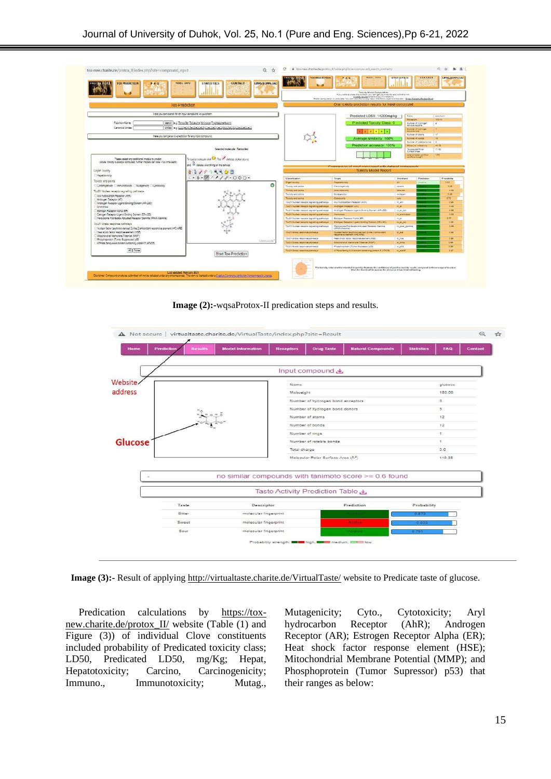

**Image (2):-**wqsaProtox-II predication steps and results.



**Image (3):-** Result of applying<http://virtualtaste.charite.de/VirtualTaste/> website to Predicate taste of glucose.

Predication calculations by [https://tox](https://tox-new.charite.de/protox_II/)[new.charite.de/protox\\_II/](https://tox-new.charite.de/protox_II/) website (Table (1) and Figure (3)) of individual Clove constituents included probability of Predicated toxicity class; LD50, Predicated LD50, mg/Kg; Hepat, Hepatotoxicity; Carcino, Carcinogenicity; Immuno., Immunotoxicity; Mutag., Mutagenicity; Cyto., Cytotoxicity; Aryl hydrocarbon Receptor (AhR); Androgen Receptor (AR); Estrogen Receptor Alpha (ER); Heat shock factor response element (HSE); Mitochondrial Membrane Potential (MMP); and Phosphoprotein (Tumor Supressor) p53) that their ranges as below: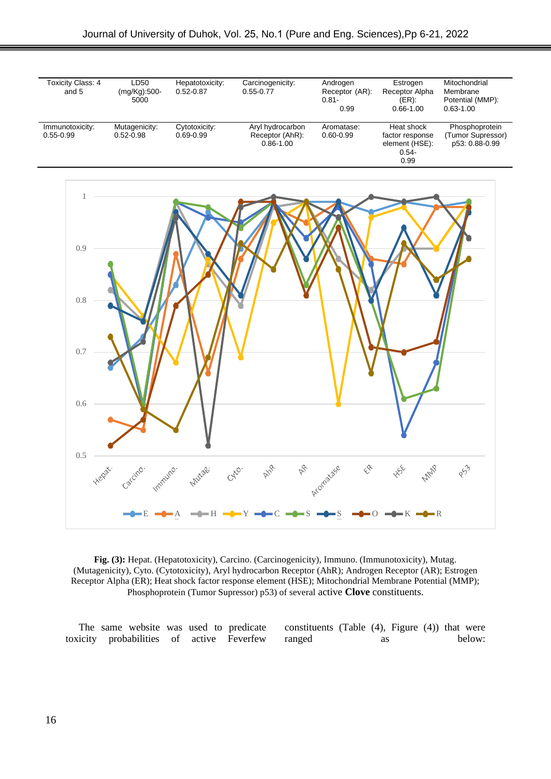

**Fig. (3):** Hepat. (Hepatotoxicity), Carcino. (Carcinogenicity), Immuno. (Immunotoxicity), Mutag. (Mutagenicity), Cyto. (Cytotoxicity), Aryl hydrocarbon Receptor (AhR); Androgen Receptor (AR); Estrogen Receptor Alpha (ER); Heat shock factor response element (HSE); Mitochondrial Membrane Potential (MMP); Phosphoprotein (Tumor Supressor) p53) of several active **Clove** constituents.

The same website was used to predicate toxicity probabilities of active Feverfew constituents (Table (4), Figure (4)) that were ranged as below: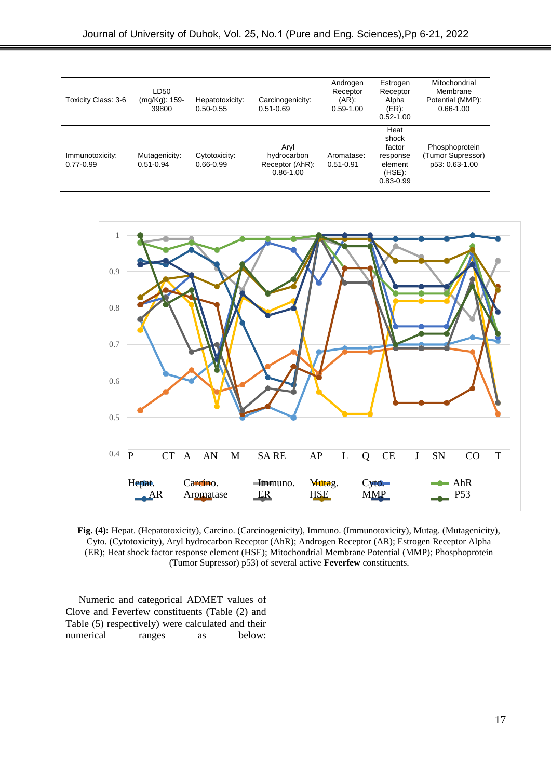| Toxicity Class: 3-6              | LD50<br>(mg/Kg): 159-<br>39800 | Hepatotoxicity:<br>$0.50 - 0.55$ | Carcinogenicity:<br>$0.51 - 0.69$                       | Androgen<br>Receptor<br>$(AR)$ .<br>$0.59 - 1.00$ | Estrogen<br>Receptor<br>Alpha<br>$(ER)$ :<br>$0.52 - 1.00$                   | Mitochondrial<br>Membrane<br>Potential (MMP):<br>$0.66 - 1.00$ |
|----------------------------------|--------------------------------|----------------------------------|---------------------------------------------------------|---------------------------------------------------|------------------------------------------------------------------------------|----------------------------------------------------------------|
| Immunotoxicity:<br>$0.77 - 0.99$ | Mutagenicity:<br>$0.51 - 0.94$ | Cytotoxicity:<br>$0.66 - 0.99$   | Arvl<br>hydrocarbon<br>Receptor (AhR):<br>$0.86 - 1.00$ | Aromatase:<br>$0.51 - 0.91$                       | Heat<br>shock<br>factor<br>response<br>element<br>$(HSE)$ :<br>$0.83 - 0.99$ | Phosphoprotein<br>(Tumor Supressor)<br>p53: 0.63-1.00          |



**Fig. (4):** Hepat. (Hepatotoxicity), Carcino. (Carcinogenicity), Immuno. (Immunotoxicity), Mutag. (Mutagenicity), Cyto. (Cytotoxicity), Aryl hydrocarbon Receptor (AhR); Androgen Receptor (AR); Estrogen Receptor Alpha (ER); Heat shock factor response element (HSE); Mitochondrial Membrane Potential (MMP); Phosphoprotein (Tumor Supressor) p53) of several active **Feverfew** constituents.

Numeric and categorical ADMET values of Clove and Feverfew constituents (Table (2) and Table (5) respectively) were calculated and their numerical ranges as below: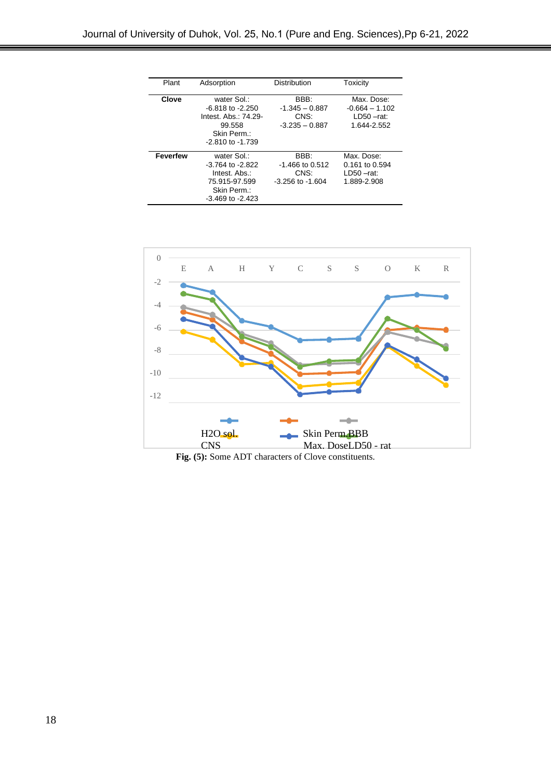| Plant           | Adsorption                                                                                                   | <b>Distribution</b>                                       | Toxicity                                                       |
|-----------------|--------------------------------------------------------------------------------------------------------------|-----------------------------------------------------------|----------------------------------------------------------------|
| Clove           | water Sol.:<br>$-6.818$ to $-2.250$<br>Intest. Abs.: 74.29-<br>99.558<br>Skin Perm.:<br>$-2.810$ to $-1.739$ | BBB:<br>$-1.345 - 0.887$<br>CNS:<br>$-3.235 - 0.887$      | Max. Dose:<br>$-0.664 - 1.102$<br>$LD50 - rat:$<br>1.644-2.552 |
| <b>Feverfew</b> | water Sol.:<br>$-3.764$ to $-2.822$<br>Intest. Abs.:<br>75.915-97.599<br>Skin Perm.:<br>$-3.469$ to $-2.423$ | BBB:<br>$-1.466$ to 0.512<br>CNS:<br>$-3.256$ to $-1.604$ | Max. Dose:<br>0.161 to 0.594<br>$LD50 - rat:$<br>1.889-2.908   |



Fig. (5): Some ADT characters of Clove constituents.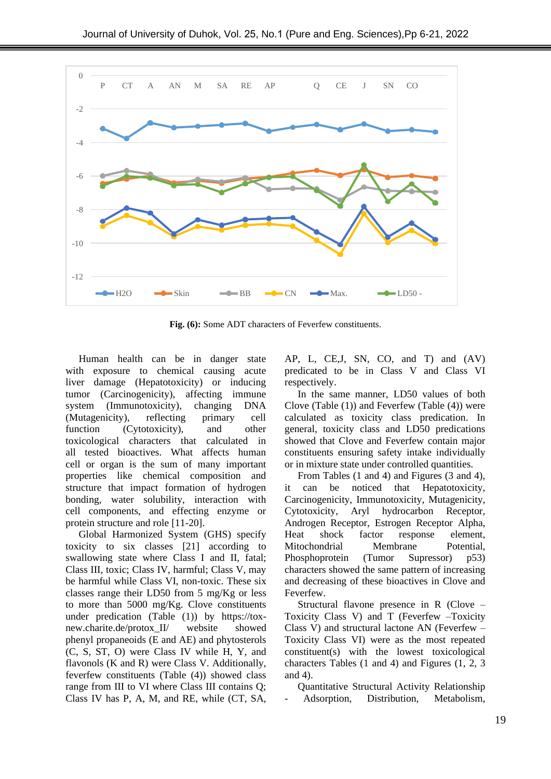

**Fig. (6):** Some ADT characters of Feverfew constituents.

Human health can be in danger state with exposure to chemical causing acute liver damage (Hepatotoxicity) or inducing tumor (Carcinogenicity), affecting immune system (Immunotoxicity), changing DNA (Mutagenicity), reflecting primary cell function (Cytotoxicity), and other toxicological characters that calculated in all tested bioactives. What affects human cell or organ is the sum of many important properties like chemical composition and structure that impact formation of hydrogen bonding, water solubility, interaction with cell components, and effecting enzyme or protein structure and role [11-20].

Global Harmonized System (GHS) specify toxicity to six classes [21] according to swallowing state where Class I and II, fatal; Class III, toxic; Class IV, harmful; Class V, may be harmful while Class VI, non-toxic. These six classes range their LD50 from 5 mg/Kg or less to more than 5000 mg/Kg. Clove constituents under predication (Table (1)) by [https://tox](https://tox-new.charite.de/protox_II/)[new.charite.de/protox\\_II/](https://tox-new.charite.de/protox_II/) website showed phenyl propaneoids (E and AE) and phytosterols (C, S, ST, O) were Class IV while H, Y, and flavonols (K and R) were Class V. Additionally, feverfew constituents (Table (4)) showed class range from III to VI where Class III contains Q; Class IV has P, A, M, and RE, while (CT, SA,

AP, L, CE,J, SN, CO, and T) and (AV) predicated to be in Class V and Class VI respectively.

In the same manner, LD50 values of both Clove (Table (1)) and Feverfew (Table (4)) were calculated as toxicity class predication. In general, toxicity class and LD50 predications showed that Clove and Feverfew contain major constituents ensuring safety intake individually or in mixture state under controlled quantities.

From Tables (1 and 4) and Figures (3 and 4), it can be noticed that Hepatotoxicity, Carcinogenicity, Immunotoxicity, Mutagenicity, Cytotoxicity, Aryl hydrocarbon Receptor, Androgen Receptor, Estrogen Receptor Alpha, Heat shock factor response element, Mitochondrial Membrane Potential, Phosphoprotein (Tumor Supressor) p53) characters showed the same pattern of increasing and decreasing of these bioactives in Clove and Feverfew.

Structural flavone presence in R (Clove – Toxicity Class V) and T (Feverfew –Toxicity Class V) and structural lactone AN (Feverfew – Toxicity Class VI) were as the most repeated constituent(s) with the lowest toxicological characters Tables (1 and 4) and Figures (1, 2, 3 and 4).

Quantitative Structural Activity Relationship Adsorption, Distribution, Metabolism,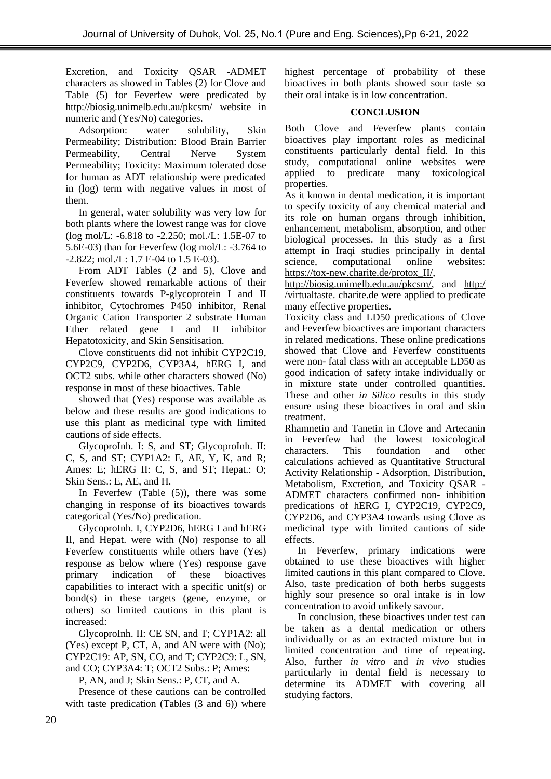Excretion, and Toxicity QSAR -ADMET characters as showed in Tables (2) for Clove and Table (5) for Feverfew were predicated by <http://biosig.unimelb.edu.au/pkcsm/> website in numeric and (Yes/No) categories.

Adsorption: water solubility, Skin Permeability; Distribution: Blood Brain Barrier Permeability, Central Nerve System Permeability; Toxicity: Maximum tolerated dose for human as ADT relationship were predicated in (log) term with negative values in most of them.

In general, water solubility was very low for both plants where the lowest range was for clove (log mol/L: -6.818 to -2.250; mol./L: 1.5E-07 to 5.6E-03) than for Feverfew (log mol/L: -3.764 to -2.822; mol./L: 1.7 E-04 to 1.5 E-03).

From ADT Tables (2 and 5), Clove and Feverfew showed remarkable actions of their constituents towards P-glycoprotein I and II inhibitor, Cytochromes P450 inhibitor, Renal Organic Cation Transporter 2 substrate Human Ether related gene I and II inhibitor Hepatotoxicity, and Skin Sensitisation.

Clove constituents did not inhibit CYP2C19, CYP2C9, CYP2D6, CYP3A4, hERG I, and OCT2 subs. while other characters showed (No) response in most of these bioactives. Table

showed that (Yes) response was available as below and these results are good indications to use this plant as medicinal type with limited cautions of side effects.

GlycoproInh. I: S, and ST; GlycoproInh. II: C, S, and ST; CYP1A2: E, AE, Y, K, and R; Ames: E; hERG II: C, S, and ST; Hepat.: O; Skin Sens.: E, AE, and H.

In Feverfew (Table (5)), there was some changing in response of its bioactives towards categorical (Yes/No) predication.

GlycoproInh. I, CYP2D6, hERG I and hERG II, and Hepat. were with (No) response to all Feverfew constituents while others have (Yes) response as below where (Yes) response gave primary indication of these bioactives capabilities to interact with a specific unit(s) or bond(s) in these targets (gene, enzyme, or others) so limited cautions in this plant is increased:

GlycoproInh. II: CE SN, and T; CYP1A2: all (Yes) except P, CT, A, and AN were with (No); CYP2C19: AP, SN, CO, and T; CYP2C9: L, SN, and CO; CYP3A4: T; OCT2 Subs.: P; Ames:

P, AN, and J; Skin Sens.: P, CT, and A.

Presence of these cautions can be controlled with taste predication (Tables  $(3 \text{ and } 6)$ ) where highest percentage of probability of these bioactives in both plants showed sour taste so their oral intake is in low concentration.

### **CONCLUSION**

Both Clove and Feverfew plants contain bioactives play important roles as medicinal constituents particularly dental field. In this study, computational online websites were applied to predicate many toxicological properties.

As it known in dental medication, it is important to specify toxicity of any chemical material and its role on human organs through inhibition, enhancement, metabolism, absorption, and other biological processes. In this study as a first attempt in Iraqi studies principally in dental science, computational online websites: [https://tox-new.charite.de/protox\\_II/,](https://tox-new.charite.de/protox_II/)

[http://biosig.unimelb.edu.au/pkcsm/,](http://biosig.unimelb.edu.au/pkcsm/) and [http:/](http://virtualtaste.charite.de/) [/virtualtaste.](http://virtualtaste.charite.de/) charite.d[e](http://virtualtaste.charite.de/) were applied to predicate many effective properties.

Toxicity class and LD50 predications of Clove and Feverfew bioactives are important characters in related medications. These online predications showed that Clove and Feverfew constituents were non- fatal class with an acceptable LD50 as good indication of safety intake individually or in mixture state under controlled quantities. These and other *in Silico* results in this study ensure using these bioactives in oral and skin treatment.

Rhamnetin and Tanetin in Clove and Artecanin in Feverfew had the lowest toxicological<br>characters. This foundation and other characters. This foundation and other calculations achieved as Quantitative Structural Activity Relationship - Adsorption, Distribution, Metabolism, Excretion, and Toxicity QSAR - ADMET characters confirmed non- inhibition predications of hERG I, CYP2C19, CYP2C9, CYP2D6, and CYP3A4 towards using Clove as medicinal type with limited cautions of side effects.

In Feverfew, primary indications were obtained to use these bioactives with higher limited cautions in this plant compared to Clove. Also, taste predication of both herbs suggests highly sour presence so oral intake is in low concentration to avoid unlikely savour.

In conclusion, these bioactives under test can be taken as a dental medication or others individually or as an extracted mixture but in limited concentration and time of repeating. Also, further *in vitro* and *in vivo* studies particularly in dental field is necessary to determine its ADMET with covering all studying factors.